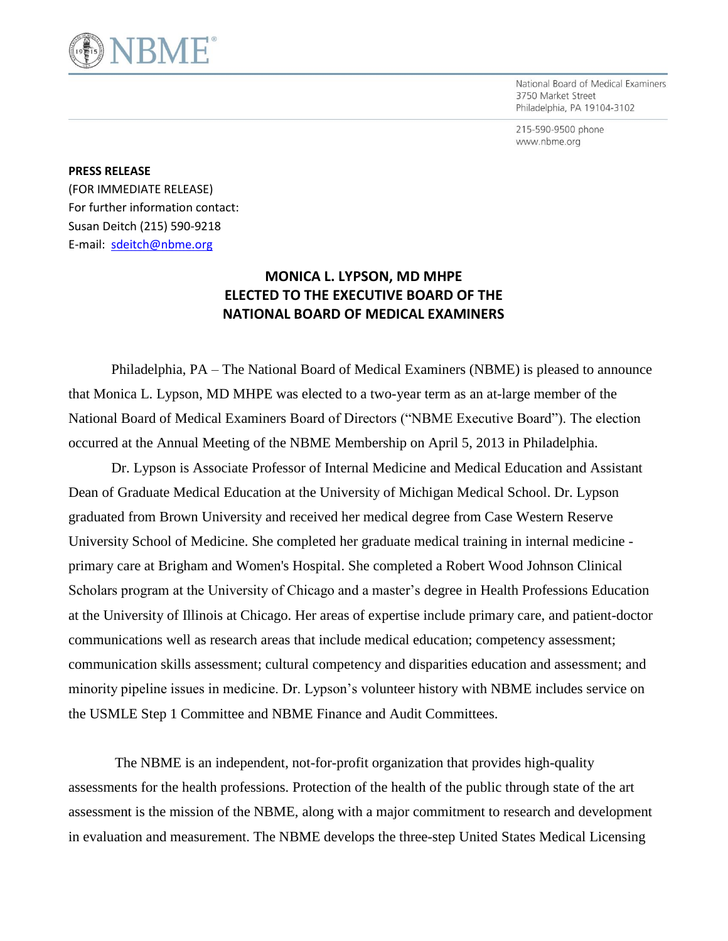

National Board of Medical Examiners 3750 Market Street Philadelphia, PA 19104-3102

215-590-9500 phone www.nbme.org

## **PRESS RELEASE**

(FOR IMMEDIATE RELEASE) For further information contact: Susan Deitch (215) 590-9218 E-mail: [sdeitch@nbme.org](mailto:sdeitch@nbme.org)

## **MONICA L. LYPSON, MD MHPE ELECTED TO THE EXECUTIVE BOARD OF THE NATIONAL BOARD OF MEDICAL EXAMINERS**

Philadelphia, PA – The National Board of Medical Examiners (NBME) is pleased to announce that Monica L. Lypson, MD MHPE was elected to a two-year term as an at-large member of the National Board of Medical Examiners Board of Directors ("NBME Executive Board"). The election occurred at the Annual Meeting of the NBME Membership on April 5, 2013 in Philadelphia.

Dr. Lypson is Associate Professor of Internal Medicine and Medical Education and Assistant Dean of Graduate Medical Education at the University of Michigan Medical School. Dr. Lypson graduated from Brown University and received her medical degree from Case Western Reserve University School of Medicine. She completed her graduate medical training in internal medicine primary care at Brigham and Women's Hospital. She completed a Robert Wood Johnson Clinical Scholars program at the University of Chicago and a master's degree in Health Professions Education at the University of Illinois at Chicago. Her areas of expertise include primary care, and patient-doctor communications well as research areas that include medical education; competency assessment; communication skills assessment; cultural competency and disparities education and assessment; and minority pipeline issues in medicine. Dr. Lypson's volunteer history with NBME includes service on the USMLE Step 1 Committee and NBME Finance and Audit Committees.

 The NBME is an independent, not-for-profit organization that provides high-quality assessments for the health professions. Protection of the health of the public through state of the art assessment is the mission of the NBME, along with a major commitment to research and development in evaluation and measurement. The NBME develops the three-step United States Medical Licensing